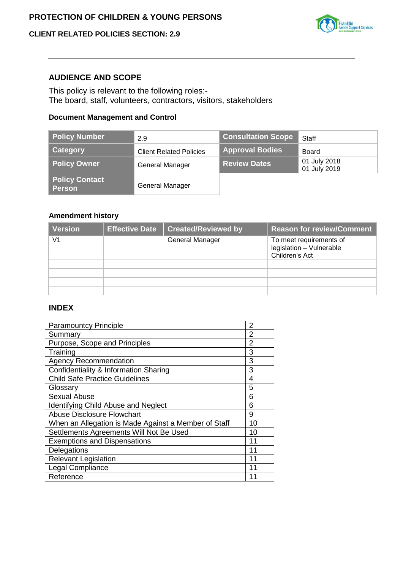## **CLIENT RELATED POLICIES SECTION: 2.9**



#### **AUDIENCE AND SCOPE**

This policy is relevant to the following roles:- The board, staff, volunteers, contractors, visitors, stakeholders

## **Document Management and Control**

| <b>Policy Number</b>                   | 2.9                            | <b>Consultation Scope</b> | <b>Staff</b>                 |
|----------------------------------------|--------------------------------|---------------------------|------------------------------|
| Category                               | <b>Client Related Policies</b> | <b>Approval Bodies</b>    | Board                        |
| <b>Policy Owner</b>                    | General Manager                | <b>Review Dates</b>       | 01 July 2018<br>01 July 2019 |
| <b>Policy Contact</b><br><b>Person</b> | General Manager                |                           |                              |

### **Amendment history**

| Version        | <b>Effective Date</b> | <b>Created/Reviewed by</b> | <b>Reason for review/Comment</b>                                      |
|----------------|-----------------------|----------------------------|-----------------------------------------------------------------------|
| V <sub>1</sub> |                       | <b>General Manager</b>     | To meet requirements of<br>legislation - Vulnerable<br>Children's Act |
|                |                       |                            |                                                                       |
|                |                       |                            |                                                                       |
|                |                       |                            |                                                                       |
|                |                       |                            |                                                                       |

## **INDEX**

| <b>Paramountcy Principle</b>                         |    |
|------------------------------------------------------|----|
| Summary                                              | 2  |
| Purpose, Scope and Principles                        | 2  |
| Training                                             | 3  |
| <b>Agency Recommendation</b>                         | 3  |
| Confidentiality & Information Sharing                | 3  |
| <b>Child Safe Practice Guidelines</b>                | 4  |
| Glossary                                             | 5  |
| <b>Sexual Abuse</b>                                  | 6  |
| <b>Identifying Child Abuse and Neglect</b>           | 6  |
| Abuse Disclosure Flowchart                           | 9  |
| When an Allegation is Made Against a Member of Staff | 10 |
| Settlements Agreements Will Not Be Used              | 10 |
| <b>Exemptions and Dispensations</b>                  | 11 |
| Delegations                                          | 11 |
| <b>Relevant Legislation</b>                          | 11 |
| Legal Compliance                                     | 11 |
| Reference                                            | 11 |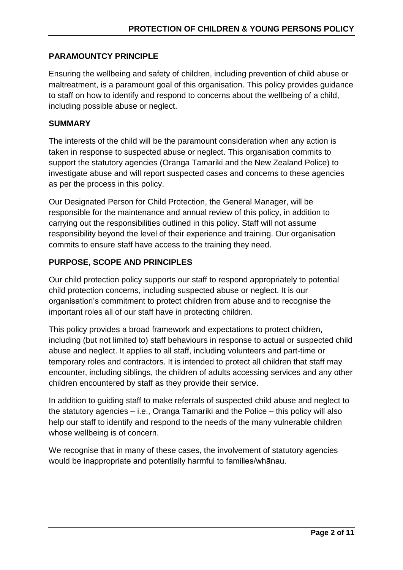# **PARAMOUNTCY PRINCIPLE**

Ensuring the wellbeing and safety of children, including prevention of child abuse or maltreatment, is a paramount goal of this organisation. This policy provides guidance to staff on how to identify and respond to concerns about the wellbeing of a child, including possible abuse or neglect.

## **SUMMARY**

The interests of the child will be the paramount consideration when any action is taken in response to suspected abuse or neglect. This organisation commits to support the statutory agencies (Oranga Tamariki and the New Zealand Police) to investigate abuse and will report suspected cases and concerns to these agencies as per the process in this policy.

Our Designated Person for Child Protection, the General Manager, will be responsible for the maintenance and annual review of this policy, in addition to carrying out the responsibilities outlined in this policy. Staff will not assume responsibility beyond the level of their experience and training. Our organisation commits to ensure staff have access to the training they need.

# **PURPOSE, SCOPE AND PRINCIPLES**

Our child protection policy supports our staff to respond appropriately to potential child protection concerns, including suspected abuse or neglect. It is our organisation's commitment to protect children from abuse and to recognise the important roles all of our staff have in protecting children.

This policy provides a broad framework and expectations to protect children, including (but not limited to) staff behaviours in response to actual or suspected child abuse and neglect. It applies to all staff, including volunteers and part-time or temporary roles and contractors. It is intended to protect all children that staff may encounter, including siblings, the children of adults accessing services and any other children encountered by staff as they provide their service.

In addition to guiding staff to make referrals of suspected child abuse and neglect to the statutory agencies – i.e., Oranga Tamariki and the Police – this policy will also help our staff to identify and respond to the needs of the many vulnerable children whose wellbeing is of concern.

We recognise that in many of these cases, the involvement of statutory agencies would be inappropriate and potentially harmful to families/whānau.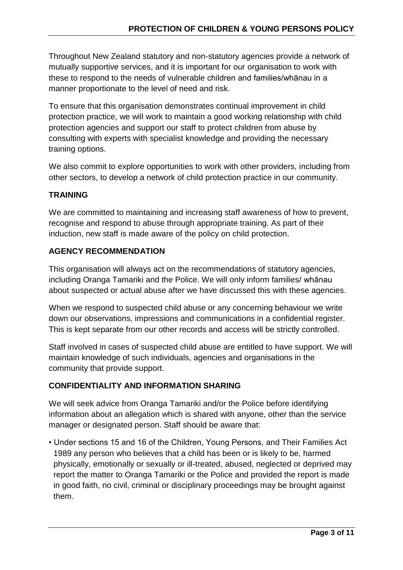Throughout New Zealand statutory and non-statutory agencies provide a network of mutually supportive services, and it is important for our organisation to work with these to respond to the needs of vulnerable children and families/whānau in a manner proportionate to the level of need and risk.

To ensure that this organisation demonstrates continual improvement in child protection practice, we will work to maintain a good working relationship with child protection agencies and support our staff to protect children from abuse by consulting with experts with specialist knowledge and providing the necessary training options.

We also commit to explore opportunities to work with other providers, including from other sectors, to develop a network of child protection practice in our community.

# **TRAINING**

We are committed to maintaining and increasing staff awareness of how to prevent, recognise and respond to abuse through appropriate training. As part of their induction, new staff is made aware of the policy on child protection.

## **AGENCY RECOMMENDATION**

This organisation will always act on the recommendations of statutory agencies, including Oranga Tamariki and the Police. We will only inform families/ whānau about suspected or actual abuse after we have discussed this with these agencies.

When we respond to suspected child abuse or any concerning behaviour we write down our observations, impressions and communications in a confidential register. This is kept separate from our other records and access will be strictly controlled.

Staff involved in cases of suspected child abuse are entitled to have support. We will maintain knowledge of such individuals, agencies and organisations in the community that provide support.

# **CONFIDENTIALITY AND INFORMATION SHARING**

We will seek advice from Oranga Tamariki and/or the Police before identifying information about an allegation which is shared with anyone, other than the service manager or designated person. Staff should be aware that:

• Under sections 15 and 16 of the Children, Young Persons, and Their Families Act 1989 any person who believes that a child has been or is likely to be, harmed physically, emotionally or sexually or ill-treated, abused, neglected or deprived may report the matter to Oranga Tamariki or the Police and provided the report is made in good faith, no civil, criminal or disciplinary proceedings may be brought against them.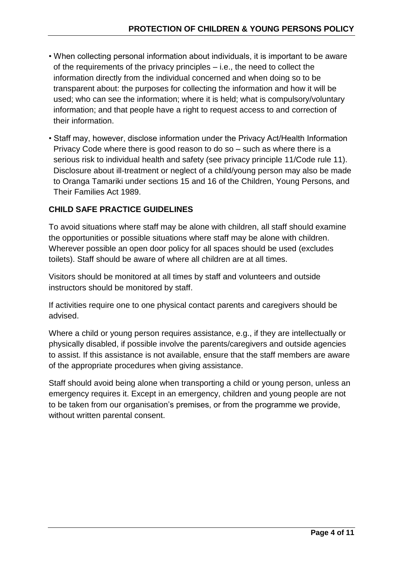- When collecting personal information about individuals, it is important to be aware of the requirements of the privacy principles – i.e., the need to collect the information directly from the individual concerned and when doing so to be transparent about: the purposes for collecting the information and how it will be used; who can see the information; where it is held; what is compulsory/voluntary information; and that people have a right to request access to and correction of their information.
- Staff may, however, disclose information under the Privacy Act/Health Information Privacy Code where there is good reason to do so – such as where there is a serious risk to individual health and safety (see privacy principle 11/Code rule 11). Disclosure about ill-treatment or neglect of a child/young person may also be made to Oranga Tamariki under sections 15 and 16 of the Children, Young Persons, and Their Families Act 1989.

# **CHILD SAFE PRACTICE GUIDELINES**

To avoid situations where staff may be alone with children, all staff should examine the opportunities or possible situations where staff may be alone with children. Wherever possible an open door policy for all spaces should be used (excludes toilets). Staff should be aware of where all children are at all times.

Visitors should be monitored at all times by staff and volunteers and outside instructors should be monitored by staff.

If activities require one to one physical contact parents and caregivers should be advised.

Where a child or young person requires assistance, e.g., if they are intellectually or physically disabled, if possible involve the parents/caregivers and outside agencies to assist. If this assistance is not available, ensure that the staff members are aware of the appropriate procedures when giving assistance.

Staff should avoid being alone when transporting a child or young person, unless an emergency requires it. Except in an emergency, children and young people are not to be taken from our organisation's premises, or from the programme we provide, without written parental consent.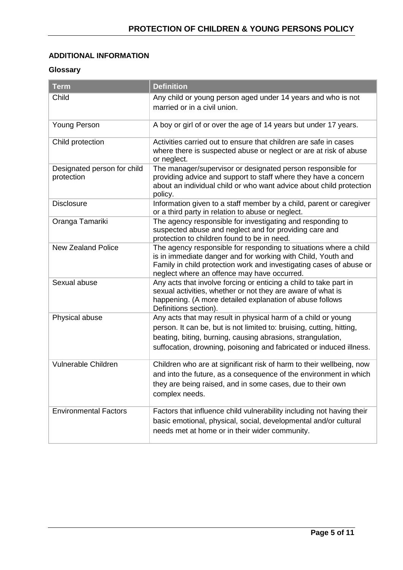#### **ADDITIONAL INFORMATION**

#### **Glossary**

| <b>Term</b>                               | <b>Definition</b>                                                                                                                                                                                                                                                            |
|-------------------------------------------|------------------------------------------------------------------------------------------------------------------------------------------------------------------------------------------------------------------------------------------------------------------------------|
| Child                                     | Any child or young person aged under 14 years and who is not<br>married or in a civil union.                                                                                                                                                                                 |
| <b>Young Person</b>                       | A boy or girl of or over the age of 14 years but under 17 years.                                                                                                                                                                                                             |
| Child protection                          | Activities carried out to ensure that children are safe in cases<br>where there is suspected abuse or neglect or are at risk of abuse<br>or neglect.                                                                                                                         |
| Designated person for child<br>protection | The manager/supervisor or designated person responsible for<br>providing advice and support to staff where they have a concern<br>about an individual child or who want advice about child protection<br>policy.                                                             |
| <b>Disclosure</b>                         | Information given to a staff member by a child, parent or caregiver<br>or a third party in relation to abuse or neglect.                                                                                                                                                     |
| Oranga Tamariki                           | The agency responsible for investigating and responding to<br>suspected abuse and neglect and for providing care and<br>protection to children found to be in need.                                                                                                          |
| <b>New Zealand Police</b>                 | The agency responsible for responding to situations where a child<br>is in immediate danger and for working with Child, Youth and<br>Family in child protection work and investigating cases of abuse or<br>neglect where an offence may have occurred.                      |
| Sexual abuse                              | Any acts that involve forcing or enticing a child to take part in<br>sexual activities, whether or not they are aware of what is<br>happening. (A more detailed explanation of abuse follows<br>Definitions section).                                                        |
| Physical abuse                            | Any acts that may result in physical harm of a child or young<br>person. It can be, but is not limited to: bruising, cutting, hitting,<br>beating, biting, burning, causing abrasions, strangulation,<br>suffocation, drowning, poisoning and fabricated or induced illness. |
| Vulnerable Children                       | Children who are at significant risk of harm to their wellbeing, now<br>and into the future, as a consequence of the environment in which<br>they are being raised, and in some cases, due to their own<br>complex needs.                                                    |
| <b>Environmental Factors</b>              | Factors that influence child vulnerability including not having their<br>basic emotional, physical, social, developmental and/or cultural<br>needs met at home or in their wider community.                                                                                  |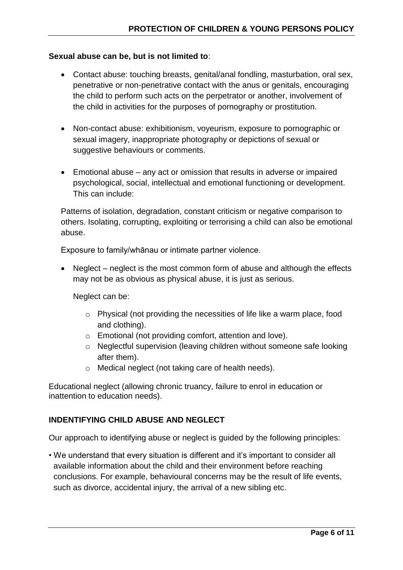## **Sexual abuse can be, but is not limited to**:

- Contact abuse: touching breasts, genital/anal fondling, masturbation, oral sex, penetrative or non-penetrative contact with the anus or genitals, encouraging the child to perform such acts on the perpetrator or another, involvement of the child in activities for the purposes of pornography or prostitution.
- Non-contact abuse: exhibitionism, voyeurism, exposure to pornographic or sexual imagery, inappropriate photography or depictions of sexual or suggestive behaviours or comments.
- Emotional abuse any act or omission that results in adverse or impaired psychological, social, intellectual and emotional functioning or development. This can include:

Patterns of isolation, degradation, constant criticism or negative comparison to others. Isolating, corrupting, exploiting or terrorising a child can also be emotional abuse.

Exposure to family/whānau or intimate partner violence.

• Neglect – neglect is the most common form of abuse and although the effects may not be as obvious as physical abuse, it is just as serious.

Neglect can be:

- o Physical (not providing the necessities of life like a warm place, food and clothing).
- o Emotional (not providing comfort, attention and love).
- o Neglectful supervision (leaving children without someone safe looking after them).
- o Medical neglect (not taking care of health needs).

Educational neglect (allowing chronic truancy, failure to enrol in education or inattention to education needs).

## **INDENTIFYING CHILD ABUSE AND NEGLECT**

Our approach to identifying abuse or neglect is guided by the following principles:

• We understand that every situation is different and it's important to consider all available information about the child and their environment before reaching conclusions. For example, behavioural concerns may be the result of life events, such as divorce, accidental injury, the arrival of a new sibling etc.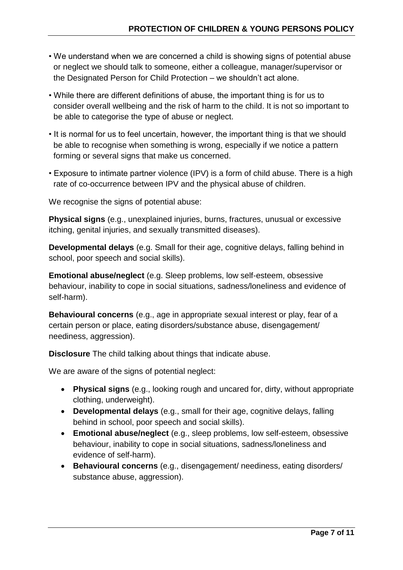- We understand when we are concerned a child is showing signs of potential abuse or neglect we should talk to someone, either a colleague, manager/supervisor or the Designated Person for Child Protection – we shouldn't act alone.
- While there are different definitions of abuse, the important thing is for us to consider overall wellbeing and the risk of harm to the child. It is not so important to be able to categorise the type of abuse or neglect.
- It is normal for us to feel uncertain, however, the important thing is that we should be able to recognise when something is wrong, especially if we notice a pattern forming or several signs that make us concerned.
- Exposure to intimate partner violence (IPV) is a form of child abuse. There is a high rate of co-occurrence between IPV and the physical abuse of children.

We recognise the signs of potential abuse:

**Physical signs** (e.g., unexplained injuries, burns, fractures, unusual or excessive itching, genital injuries, and sexually transmitted diseases).

**Developmental delays** (e.g. Small for their age, cognitive delays, falling behind in school, poor speech and social skills).

**Emotional abuse/neglect** (e.g. Sleep problems, low self-esteem, obsessive behaviour, inability to cope in social situations, sadness/loneliness and evidence of self-harm).

**Behavioural concerns** (e.g., age in appropriate sexual interest or play, fear of a certain person or place, eating disorders/substance abuse, disengagement/ neediness, aggression).

**Disclosure** The child talking about things that indicate abuse.

We are aware of the signs of potential neglect:

- **Physical signs** (e.g., looking rough and uncared for, dirty, without appropriate clothing, underweight).
- **Developmental delays** (e.g., small for their age, cognitive delays, falling behind in school, poor speech and social skills).
- **Emotional abuse/neglect** (e.g., sleep problems, low self-esteem, obsessive behaviour, inability to cope in social situations, sadness/loneliness and evidence of self-harm).
- **Behavioural concerns** (e.g., disengagement/ neediness, eating disorders/ substance abuse, aggression).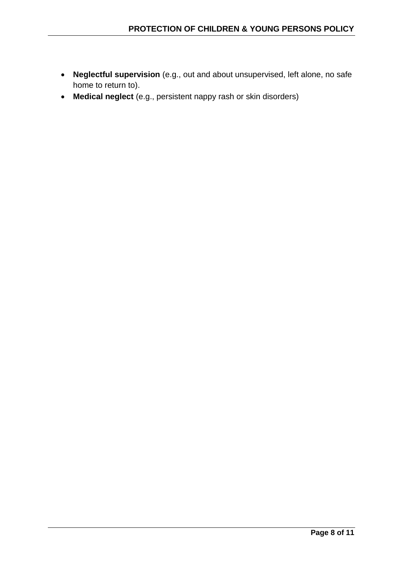- **Neglectful supervision** (e.g., out and about unsupervised, left alone, no safe home to return to).
- **Medical neglect** (e.g., persistent nappy rash or skin disorders)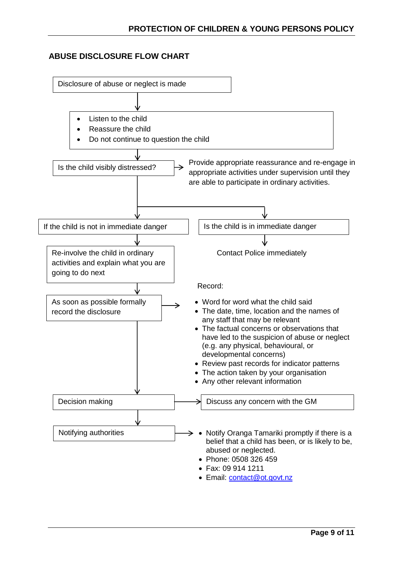## **ABUSE DISCLOSURE FLOW CHART**

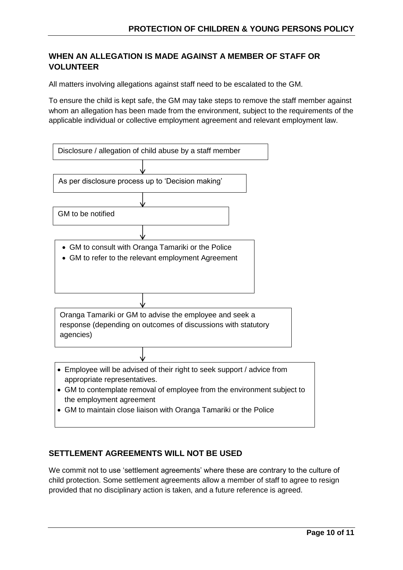# **WHEN AN ALLEGATION IS MADE AGAINST A MEMBER OF STAFF OR VOLUNTEER**

All matters involving allegations against staff need to be escalated to the GM.

To ensure the child is kept safe, the GM may take steps to remove the staff member against whom an allegation has been made from the environment, subject to the requirements of the applicable individual or collective employment agreement and relevant employment law.

| Disclosure / allegation of child abuse by a staff member                                                                                                                                                                                                                        |
|---------------------------------------------------------------------------------------------------------------------------------------------------------------------------------------------------------------------------------------------------------------------------------|
|                                                                                                                                                                                                                                                                                 |
| As per disclosure process up to 'Decision making'                                                                                                                                                                                                                               |
|                                                                                                                                                                                                                                                                                 |
| GM to be notified                                                                                                                                                                                                                                                               |
|                                                                                                                                                                                                                                                                                 |
| GM to consult with Oranga Tamariki or the Police<br>GM to refer to the relevant employment Agreement                                                                                                                                                                            |
|                                                                                                                                                                                                                                                                                 |
| Oranga Tamariki or GM to advise the employee and seek a<br>response (depending on outcomes of discussions with statutory<br>agencies)                                                                                                                                           |
|                                                                                                                                                                                                                                                                                 |
| Employee will be advised of their right to seek support / advice from<br>appropriate representatives.<br>• GM to contemplate removal of employee from the environment subject to<br>the employment agreement<br>GM to maintain close liaison with Oranga Tamariki or the Police |

## **SETTLEMENT AGREEMENTS WILL NOT BE USED**

We commit not to use 'settlement agreements' where these are contrary to the culture of child protection. Some settlement agreements allow a member of staff to agree to resign provided that no disciplinary action is taken, and a future reference is agreed.